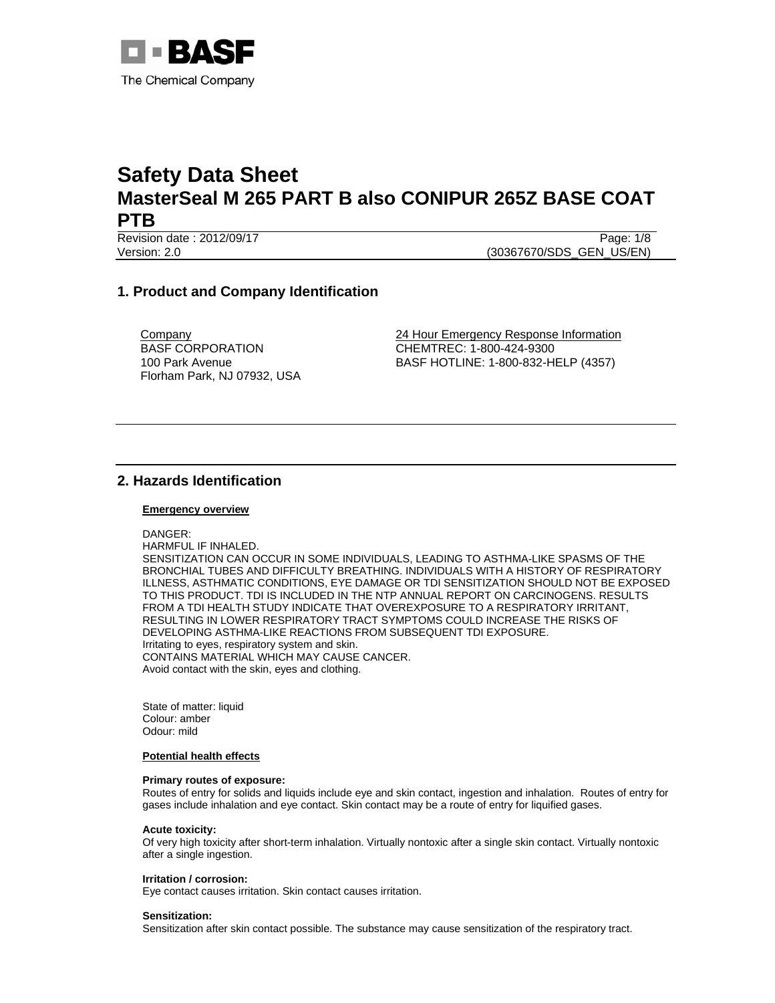

Revision date : 2012/09/17 Page: 1/8 Version: 2.0 (30367670/SDS\_GEN\_US/EN)

# **1. Product and Company Identification**

**Company** BASF CORPORATION 100 Park Avenue Florham Park, NJ 07932, USA 24 Hour Emergency Response Information CHEMTREC: 1-800-424-9300 BASF HOTLINE: 1-800-832-HELP (4357)

# **2. Hazards Identification**

#### **Emergency overview**

- DANGER:
- HARMFUL IF INHALED.

SENSITIZATION CAN OCCUR IN SOME INDIVIDUALS, LEADING TO ASTHMA-LIKE SPASMS OF THE BRONCHIAL TUBES AND DIFFICULTY BREATHING. INDIVIDUALS WITH A HISTORY OF RESPIRATORY ILLNESS, ASTHMATIC CONDITIONS, EYE DAMAGE OR TDI SENSITIZATION SHOULD NOT BE EXPOSED TO THIS PRODUCT. TDI IS INCLUDED IN THE NTP ANNUAL REPORT ON CARCINOGENS. RESULTS FROM A TDI HEALTH STUDY INDICATE THAT OVEREXPOSURE TO A RESPIRATORY IRRITANT, RESULTING IN LOWER RESPIRATORY TRACT SYMPTOMS COULD INCREASE THE RISKS OF DEVELOPING ASTHMA-LIKE REACTIONS FROM SUBSEQUENT TDI EXPOSURE. Irritating to eyes, respiratory system and skin. CONTAINS MATERIAL WHICH MAY CAUSE CANCER. Avoid contact with the skin, eyes and clothing.

State of matter: liquid Colour: amber Odour: mild

#### **Potential health effects**

#### **Primary routes of exposure:**

Routes of entry for solids and liquids include eye and skin contact, ingestion and inhalation. Routes of entry for gases include inhalation and eye contact. Skin contact may be a route of entry for liquified gases.

#### **Acute toxicity:**

Of very high toxicity after short-term inhalation. Virtually nontoxic after a single skin contact. Virtually nontoxic after a single ingestion.

#### **Irritation / corrosion:**

Eye contact causes irritation. Skin contact causes irritation.

#### **Sensitization:**

Sensitization after skin contact possible. The substance may cause sensitization of the respiratory tract.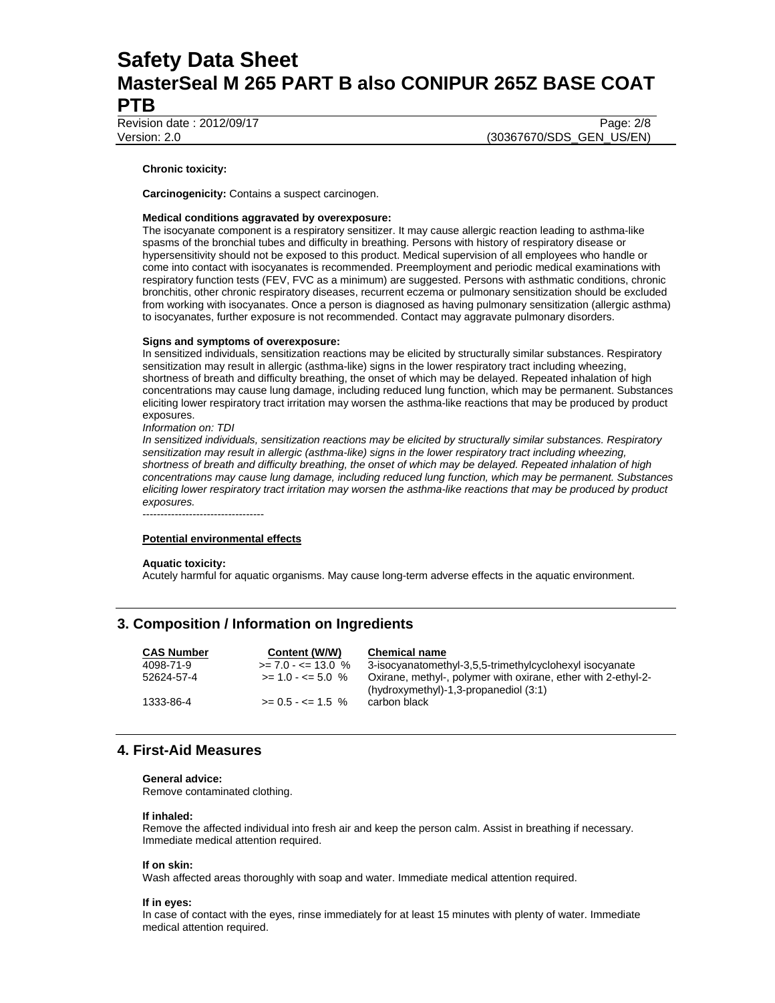Revision date : 2012/09/17 Page: 2/8

Version: 2.0 (30367670/SDS\_GEN\_US/EN)

#### **Chronic toxicity:**

**Carcinogenicity:** Contains a suspect carcinogen.

#### **Medical conditions aggravated by overexposure:**

The isocyanate component is a respiratory sensitizer. It may cause allergic reaction leading to asthma-like spasms of the bronchial tubes and difficulty in breathing. Persons with history of respiratory disease or hypersensitivity should not be exposed to this product. Medical supervision of all employees who handle or come into contact with isocyanates is recommended. Preemployment and periodic medical examinations with respiratory function tests (FEV, FVC as a minimum) are suggested. Persons with asthmatic conditions, chronic bronchitis, other chronic respiratory diseases, recurrent eczema or pulmonary sensitization should be excluded from working with isocyanates. Once a person is diagnosed as having pulmonary sensitization (allergic asthma) to isocyanates, further exposure is not recommended. Contact may aggravate pulmonary disorders.

#### **Signs and symptoms of overexposure:**

In sensitized individuals, sensitization reactions may be elicited by structurally similar substances. Respiratory sensitization may result in allergic (asthma-like) signs in the lower respiratory tract including wheezing, shortness of breath and difficulty breathing, the onset of which may be delayed. Repeated inhalation of high concentrations may cause lung damage, including reduced lung function, which may be permanent. Substances eliciting lower respiratory tract irritation may worsen the asthma-like reactions that may be produced by product exposures.

*Information on: TDI* 

*In sensitized individuals, sensitization reactions may be elicited by structurally similar substances. Respiratory sensitization may result in allergic (asthma-like) signs in the lower respiratory tract including wheezing, shortness of breath and difficulty breathing, the onset of which may be delayed. Repeated inhalation of high concentrations may cause lung damage, including reduced lung function, which may be permanent. Substances eliciting lower respiratory tract irritation may worsen the asthma-like reactions that may be produced by product exposures.* 

----------------------------------

#### **Potential environmental effects**

#### **Aquatic toxicity:**

Acutely harmful for aquatic organisms. May cause long-term adverse effects in the aquatic environment.

## **3. Composition / Information on Ingredients**

| <b>CAS Number</b> | Content (W/W)               | <b>Chemical name</b>                                                                                     |
|-------------------|-----------------------------|----------------------------------------------------------------------------------------------------------|
| 4098-71-9         | $\ge$ 7.0 - <= 13.0 %       | 3-isocyanatomethyl-3,5,5-trimethylcyclohexyl isocyanate                                                  |
| 52624-57-4        | $>= 1.0 - \le 5.0 \%$       | Oxirane, methyl-, polymer with oxirane, ether with 2-ethyl-2-<br>(hydroxymethyl)-1,3-propanediol $(3:1)$ |
| 1333-86-4         | $>= 0.5 - \epsilon = 1.5$ % | carbon black                                                                                             |

### **4. First-Aid Measures**

#### **General advice:**

Remove contaminated clothing.

#### **If inhaled:**

Remove the affected individual into fresh air and keep the person calm. Assist in breathing if necessary. Immediate medical attention required.

#### **If on skin:**

Wash affected areas thoroughly with soap and water. Immediate medical attention required.

#### **If in eyes:**

In case of contact with the eyes, rinse immediately for at least 15 minutes with plenty of water. Immediate medical attention required.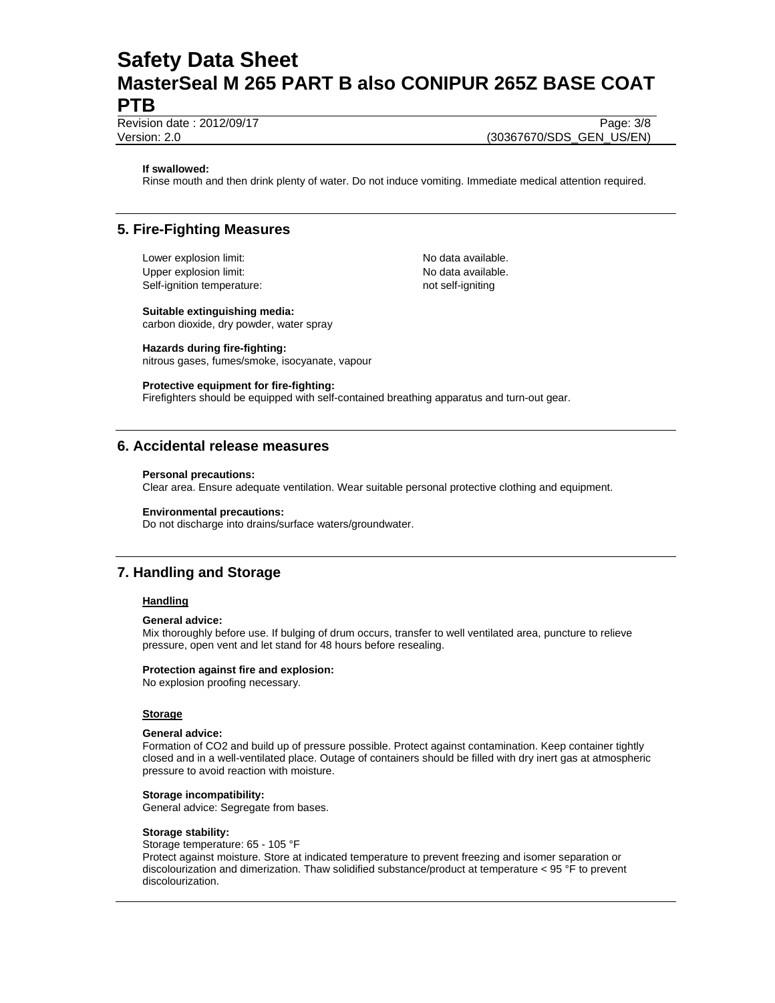Revision date : 2012/09/17 Page: 3/8

Version: 2.0 (30367670/SDS\_GEN\_US/EN)

#### **If swallowed:**

Rinse mouth and then drink plenty of water. Do not induce vomiting. Immediate medical attention required.

## **5. Fire-Fighting Measures**

Lower explosion limit:  $\blacksquare$ Upper explosion limit: Vertical available. Self-ignition temperature: not self-igniting

#### **Suitable extinguishing media:**

carbon dioxide, dry powder, water spray

### **Hazards during fire-fighting:**

nitrous gases, fumes/smoke, isocyanate, vapour

#### **Protective equipment for fire-fighting:**

Firefighters should be equipped with self-contained breathing apparatus and turn-out gear.

### **6. Accidental release measures**

#### **Personal precautions:**

Clear area. Ensure adequate ventilation. Wear suitable personal protective clothing and equipment.

#### **Environmental precautions:**

Do not discharge into drains/surface waters/groundwater.

## **7. Handling and Storage**

#### **Handling**

#### **General advice:**

Mix thoroughly before use. If bulging of drum occurs, transfer to well ventilated area, puncture to relieve pressure, open vent and let stand for 48 hours before resealing.

### **Protection against fire and explosion:**

No explosion proofing necessary.

#### **Storage**

#### **General advice:**

Formation of CO2 and build up of pressure possible. Protect against contamination. Keep container tightly closed and in a well-ventilated place. Outage of containers should be filled with dry inert gas at atmospheric pressure to avoid reaction with moisture.

#### **Storage incompatibility:**

General advice: Segregate from bases.

#### **Storage stability:**

Storage temperature: 65 - 105 °F Protect against moisture. Store at indicated temperature to prevent freezing and isomer separation or discolourization and dimerization. Thaw solidified substance/product at temperature < 95 °F to prevent discolourization.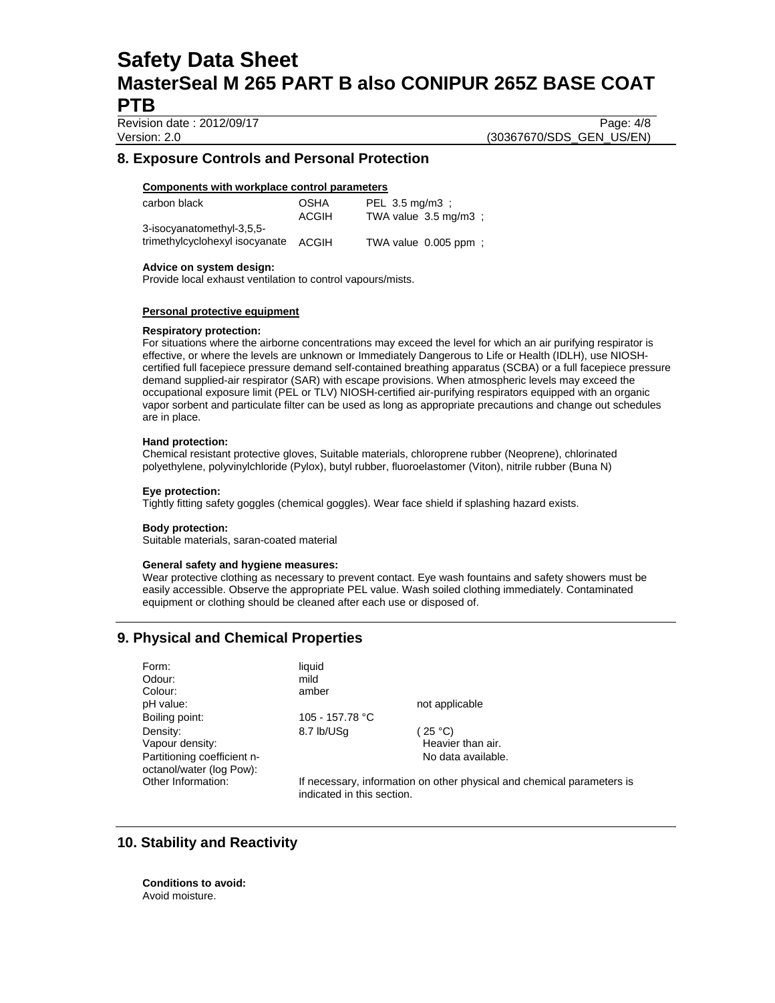Revision date : 2012/09/17 Page: 4/8 Version: 2.0 (30367670/SDS\_GEN\_US/EN)

# **8. Exposure Controls and Personal Protection**

### **Components with workplace control parameters**

| carbon black                   | <b>OSHA</b> | PEL 3.5 mg/m3 :                 |
|--------------------------------|-------------|---------------------------------|
|                                | ACGIH       | TWA value $3.5 \text{ mg/m}3$ : |
| 3-isocyanatomethyl-3,5,5-      |             |                                 |
| trimethylcyclohexyl isocyanate | ACGIH       | TWA value 0.005 ppm;            |

#### **Advice on system design:**

Provide local exhaust ventilation to control vapours/mists.

#### **Personal protective equipment**

#### **Respiratory protection:**

For situations where the airborne concentrations may exceed the level for which an air purifying respirator is effective, or where the levels are unknown or Immediately Dangerous to Life or Health (IDLH), use NIOSHcertified full facepiece pressure demand self-contained breathing apparatus (SCBA) or a full facepiece pressure demand supplied-air respirator (SAR) with escape provisions. When atmospheric levels may exceed the occupational exposure limit (PEL or TLV) NIOSH-certified air-purifying respirators equipped with an organic vapor sorbent and particulate filter can be used as long as appropriate precautions and change out schedules are in place.

#### **Hand protection:**

Chemical resistant protective gloves, Suitable materials, chloroprene rubber (Neoprene), chlorinated polyethylene, polyvinylchloride (Pylox), butyl rubber, fluoroelastomer (Viton), nitrile rubber (Buna N)

#### **Eye protection:**

Tightly fitting safety goggles (chemical goggles). Wear face shield if splashing hazard exists.

#### **Body protection:**

Suitable materials, saran-coated material

#### **General safety and hygiene measures:**

Wear protective clothing as necessary to prevent contact. Eye wash fountains and safety showers must be easily accessible. Observe the appropriate PEL value. Wash soiled clothing immediately. Contaminated equipment or clothing should be cleaned after each use or disposed of.

# **9. Physical and Chemical Properties**

| Form:<br>Odour:<br>Colour:                              | liquid<br>mild<br>amber                                                                              |                                      |
|---------------------------------------------------------|------------------------------------------------------------------------------------------------------|--------------------------------------|
| pH value:                                               |                                                                                                      | not applicable                       |
| Boiling point:                                          | 105 - 157.78 °C                                                                                      |                                      |
| Density:<br>Vapour density:                             | 8.7 lb/USq                                                                                           | $25^{\circ}$ C)<br>Heavier than air. |
|                                                         |                                                                                                      |                                      |
| Partitioning coefficient n-<br>octanol/water (log Pow): |                                                                                                      | No data available.                   |
| Other Information:                                      | If necessary, information on other physical and chemical parameters is<br>indicated in this section. |                                      |

## **10. Stability and Reactivity**

**Conditions to avoid:** Avoid moisture.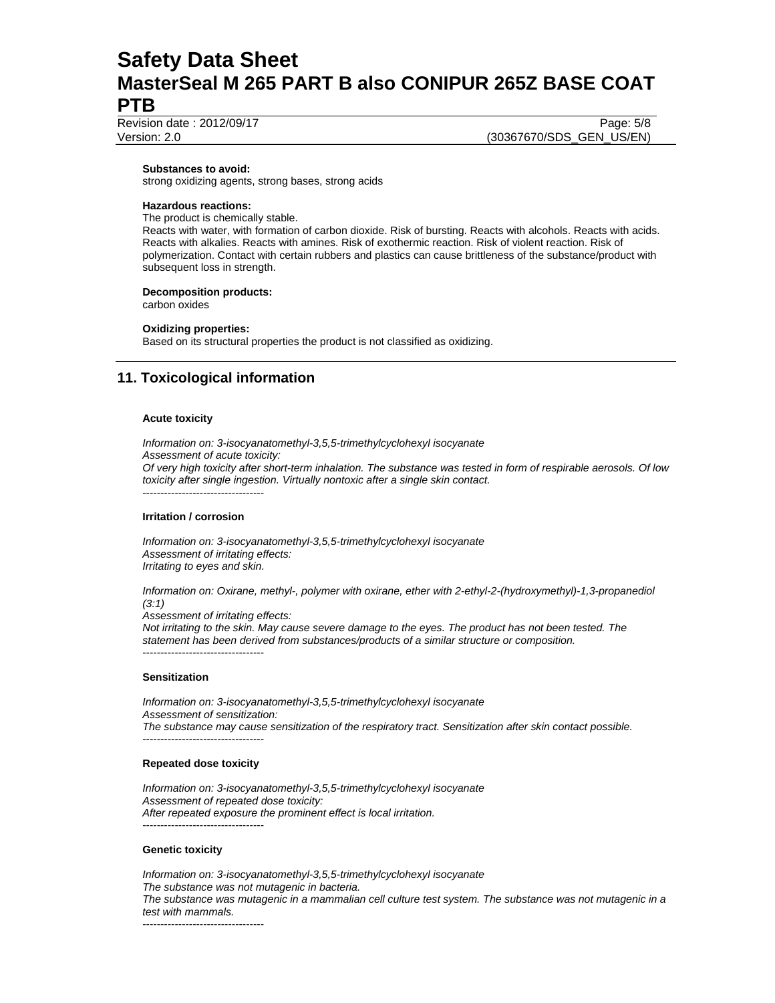Revision date : 2012/09/17 Page: 5/8

Version: 2.0 (30367670/SDS\_GEN\_US/EN)

**Substances to avoid:**

strong oxidizing agents, strong bases, strong acids

#### **Hazardous reactions:**

The product is chemically stable.

Reacts with water, with formation of carbon dioxide. Risk of bursting. Reacts with alcohols. Reacts with acids. Reacts with alkalies. Reacts with amines. Risk of exothermic reaction. Risk of violent reaction. Risk of polymerization. Contact with certain rubbers and plastics can cause brittleness of the substance/product with subsequent loss in strength.

#### **Decomposition products:**

carbon oxides

#### **Oxidizing properties:**

Based on its structural properties the product is not classified as oxidizing.

# **11. Toxicological information**

#### **Acute toxicity**

*Information on: 3-isocyanatomethyl-3,5,5-trimethylcyclohexyl isocyanate Assessment of acute toxicity: Of very high toxicity after short-term inhalation. The substance was tested in form of respirable aerosols. Of low toxicity after single ingestion. Virtually nontoxic after a single skin contact.*  ----------------------------------

#### **Irritation / corrosion**

*Information on: 3-isocyanatomethyl-3,5,5-trimethylcyclohexyl isocyanate Assessment of irritating effects: Irritating to eyes and skin.* 

*Information on: Oxirane, methyl-, polymer with oxirane, ether with 2-ethyl-2-(hydroxymethyl)-1,3-propanediol (3:1)* 

*Assessment of irritating effects:* 

*Not irritating to the skin. May cause severe damage to the eyes. The product has not been tested. The statement has been derived from substances/products of a similar structure or composition.*  ----------------------------------

#### **Sensitization**

*Information on: 3-isocyanatomethyl-3,5,5-trimethylcyclohexyl isocyanate Assessment of sensitization: The substance may cause sensitization of the respiratory tract. Sensitization after skin contact possible.*  ----------------------------------

#### **Repeated dose toxicity**

*Information on: 3-isocyanatomethyl-3,5,5-trimethylcyclohexyl isocyanate Assessment of repeated dose toxicity: After repeated exposure the prominent effect is local irritation.*  ----------------------------------

#### **Genetic toxicity**

*Information on: 3-isocyanatomethyl-3,5,5-trimethylcyclohexyl isocyanate The substance was not mutagenic in bacteria. The substance was mutagenic in a mammalian cell culture test system. The substance was not mutagenic in a test with mammals.*  ----------------------------------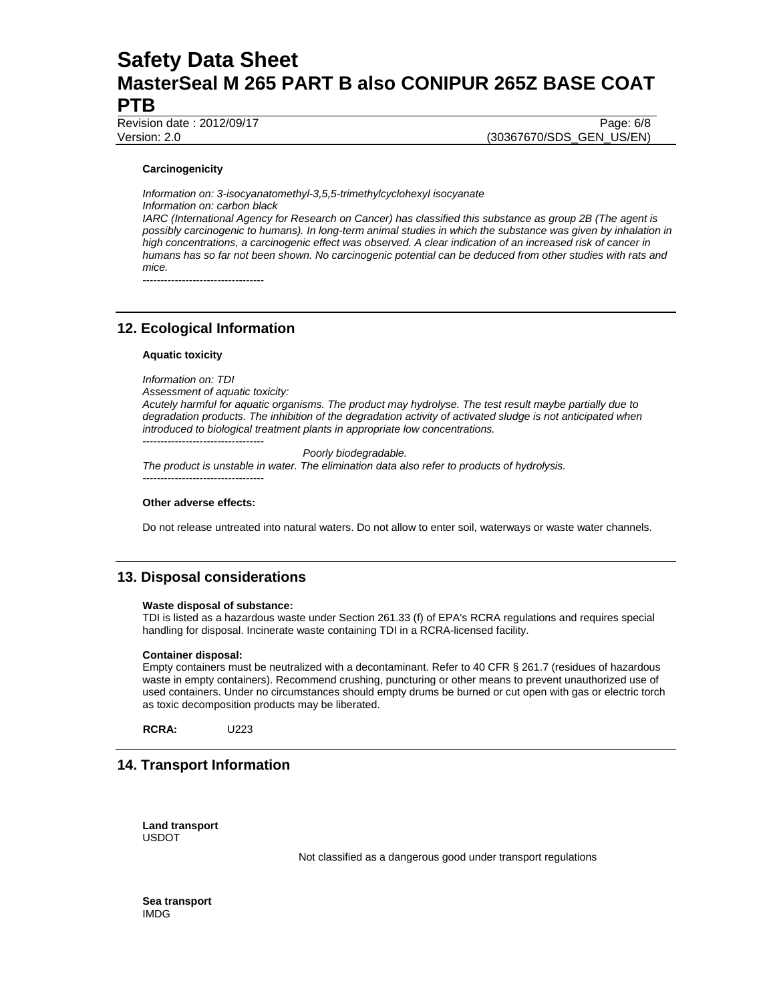Revision date : 2012/09/17 Page: 6/8

Version: 2.0 (30367670/SDS\_GEN\_US/EN)

#### **Carcinogenicity**

*Information on: 3-isocyanatomethyl-3,5,5-trimethylcyclohexyl isocyanate Information on: carbon black IARC (International Agency for Research on Cancer) has classified this substance as group 2B (The agent is possibly carcinogenic to humans). In long-term animal studies in which the substance was given by inhalation in high concentrations, a carcinogenic effect was observed. A clear indication of an increased risk of cancer in humans has so far not been shown. No carcinogenic potential can be deduced from other studies with rats and mice.* 

----------------------------------

## **12. Ecological Information**

#### **Aquatic toxicity**

*Information on: TDI Assessment of aquatic toxicity: Acutely harmful for aquatic organisms. The product may hydrolyse. The test result maybe partially due to degradation products. The inhibition of the degradation activity of activated sludge is not anticipated when introduced to biological treatment plants in appropriate low concentrations.*  ----------------------------------

 *Poorly biodegradable. The product is unstable in water. The elimination data also refer to products of hydrolysis.*  ----------------------------------

#### **Other adverse effects:**

Do not release untreated into natural waters. Do not allow to enter soil, waterways or waste water channels.

## **13. Disposal considerations**

#### **Waste disposal of substance:**

TDI is listed as a hazardous waste under Section 261.33 (f) of EPA's RCRA regulations and requires special handling for disposal. Incinerate waste containing TDI in a RCRA-licensed facility.

#### **Container disposal:**

Empty containers must be neutralized with a decontaminant. Refer to 40 CFR § 261.7 (residues of hazardous waste in empty containers). Recommend crushing, puncturing or other means to prevent unauthorized use of used containers. Under no circumstances should empty drums be burned or cut open with gas or electric torch as toxic decomposition products may be liberated.

**RCRA:** U223

## **14. Transport Information**

**Land transport**  USDOT

Not classified as a dangerous good under transport regulations

**Sea transport**  IMDG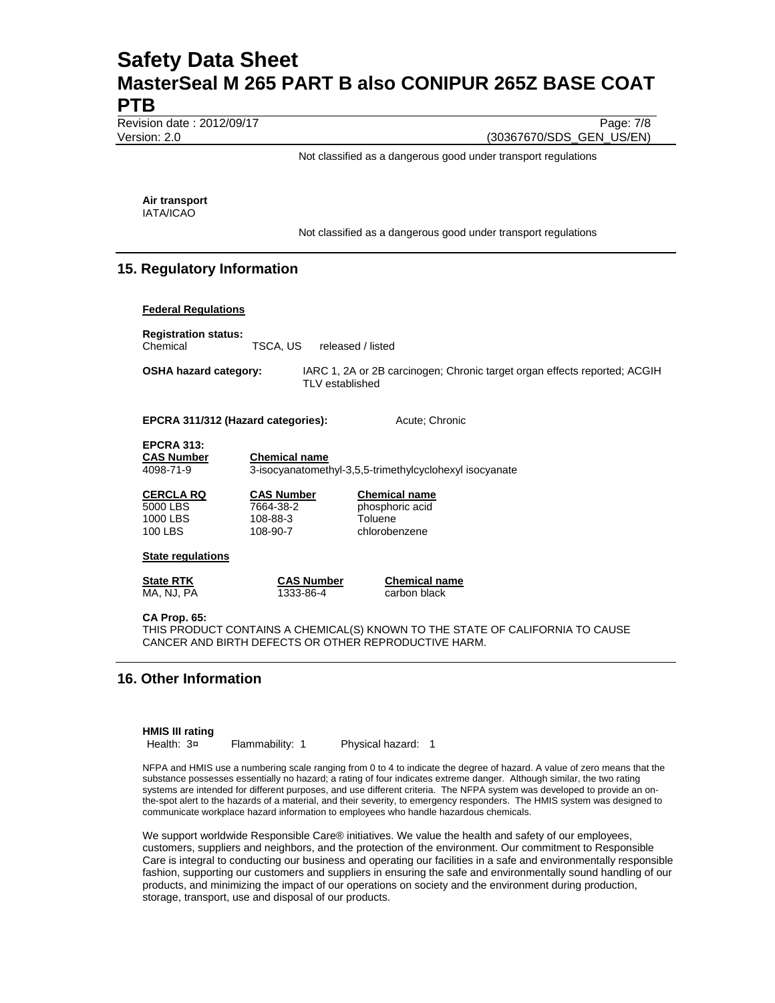Revision date : 2012/09/17 Page: 7/8

Version: 2.0 (30367670/SDS\_GEN\_US/EN)

Not classified as a dangerous good under transport regulations

**Air transport**  IATA/ICAO

Not classified as a dangerous good under transport regulations

# **15. Regulatory Information**

#### **Federal Regulations**

**Registration status:**  Chemical TSCA, US released / listed

**OSHA hazard category:** IARC 1, 2A or 2B carcinogen; Chronic target organ effects reported; ACGIH TLV established

**EPCRA 311/312 (Hazard categories):** Acute; Chronic

**EPCRA 313:** 

**CAS Number Chemical name**

4098-71-9 3-isocyanatomethyl-3,5,5-trimethylcyclohexyl isocyanate

| CERCLA RQ | <b>CAS Number</b> | <b>Chemical name</b> |
|-----------|-------------------|----------------------|
| 5000 LBS  | 7664-38-2         | phosphoric acid      |
| 1000 LBS  | 108-88-3          | Toluene              |
| 100 LBS   | 108-90-7          | chlorobenzene        |

#### **State regulations**

**State RTK**<br>MA, NJ, PA<br>1333-86-4<br>carbon black

1333-86-4 carbon black

**CA Prop. 65:** 

THIS PRODUCT CONTAINS A CHEMICAL(S) KNOWN TO THE STATE OF CALIFORNIA TO CAUSE CANCER AND BIRTH DEFECTS OR OTHER REPRODUCTIVE HARM.

## **16. Other Information**

**HMIS III rating**<br>Health: 3¤

Flammability: 1 Physical hazard: 1

NFPA and HMIS use a numbering scale ranging from 0 to 4 to indicate the degree of hazard. A value of zero means that the substance possesses essentially no hazard; a rating of four indicates extreme danger. Although similar, the two rating systems are intended for different purposes, and use different criteria. The NFPA system was developed to provide an onthe-spot alert to the hazards of a material, and their severity, to emergency responders. The HMIS system was designed to communicate workplace hazard information to employees who handle hazardous chemicals.

We support worldwide Responsible Care® initiatives. We value the health and safety of our employees, customers, suppliers and neighbors, and the protection of the environment. Our commitment to Responsible Care is integral to conducting our business and operating our facilities in a safe and environmentally responsible fashion, supporting our customers and suppliers in ensuring the safe and environmentally sound handling of our products, and minimizing the impact of our operations on society and the environment during production, storage, transport, use and disposal of our products.